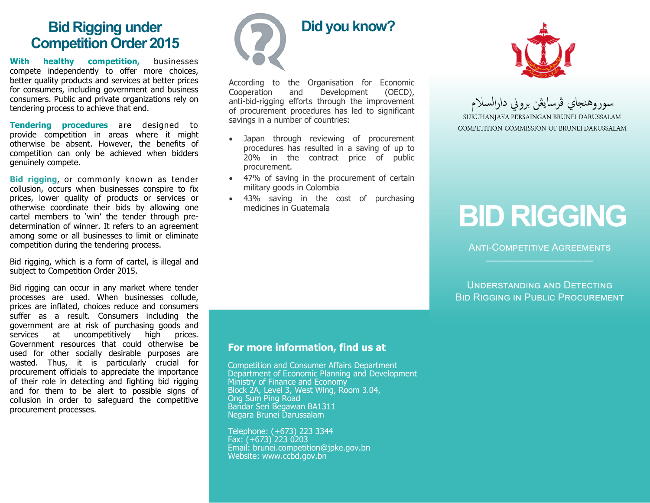## **Bid Rigging under Competition Order 2015**

**With healthy competition,** businesses compete independently to offer more choices, better quality products and services at better prices for consumers, including government and business consumers. Public and private organizations rely on tendering process to achieve that end.

**Tendering procedures** are designed to provide competition in areas where it might otherwise be absent. However, the benefits of competition can only be achieved when bidders genuinely compete.

**Bid rigging**, or commonly known as tender collusion, occurs when businesses conspire to fix prices, lower quality of products or services or otherwise coordinate their bids by allowing one cartel members to 'win' the tender through predetermination of winner. It refers to an agreement among some or all businesses to limit or eliminate competition during the tendering process.

Bid rigging, which is a form of cartel, is illegal and subject to Competition Order 2015.

Bid rigging can occur in any market where tender processes are used. When businesses collude, prices are inflated, choices reduce and consumers suffer as a result. Consumers including the government are at risk of purchasing goods and services at uncompetitively high prices. Government resources that could otherwise be used for other socially desirable purposes are wasted. Thus, it is particularly crucial for procurement officials to appreciate the importance of their role in detecting and fighting bid rigging and for them to be alert to possible signs of collusion in order to safeguard the competitive procurement processes.



According to the Organisation for Economic Cooperation and Development (OECD), anti-bid-rigging efforts through the improvement of procurement procedures has led to significant savings in a number of countries:

- Japan through reviewing of procurement procedures has resulted in a saving of up to 20% in the contract price of public procurement.
- 47% of saving in the procurement of certain military goods in Colombia
- 43% saving in the cost of purchasing medicines in Guatemala



سوروهنجاي فرسايثن بروني دارالسلام SURUHANJAYA PERSAINGAN BRUNEI DARUSSALAM

COMPETITION COMMISSION OF BRUNEI DARUSSALAM

# **BID RIGGING**

**ANTI-COMPETITIVE AGREEMENTS** 

Understanding and Detecting Bid Rigging in Public Procurement

#### **For more information, find us at**

Competition and Consumer Affairs Department Department of Economic Planning and Development Ministry of Finance and Economy Block 2A, Level 3, West Wing, Room 3.04, Ong Sum Ping Road Bandar Seri Begawan BA1311 Negara Brunei Darussalam

Telephone: (+673) 223 3344 Fax: (+673) 223 0203 Email: brunei.competition@jpke.gov.bn Website: www.ccbd.gov.bn